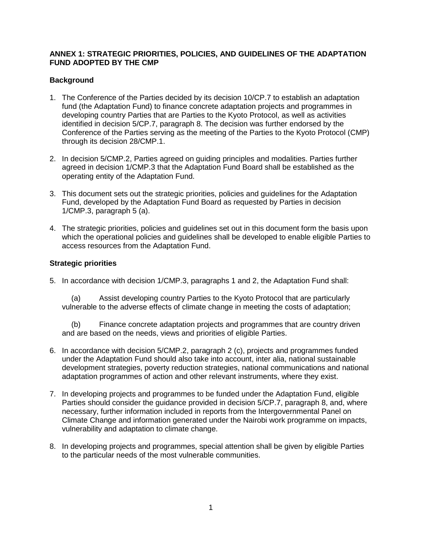## **ANNEX 1: STRATEGIC PRIORITIES, POLICIES, AND GUIDELINES OF THE ADAPTATION FUND ADOPTED BY THE CMP**

## **Background**

- 1. The Conference of the Parties decided by its decision 10/CP.7 to establish an adaptation fund (the Adaptation Fund) to finance concrete adaptation projects and programmes in developing country Parties that are Parties to the Kyoto Protocol, as well as activities identified in decision 5/CP.7, paragraph 8. The decision was further endorsed by the Conference of the Parties serving as the meeting of the Parties to the Kyoto Protocol (CMP) through its decision 28/CMP.1.
- 2. In decision 5/CMP.2, Parties agreed on guiding principles and modalities. Parties further agreed in decision 1/CMP.3 that the Adaptation Fund Board shall be established as the operating entity of the Adaptation Fund.
- 3. This document sets out the strategic priorities, policies and guidelines for the Adaptation Fund, developed by the Adaptation Fund Board as requested by Parties in decision 1/CMP.3, paragraph 5 (a).
- 4. The strategic priorities, policies and guidelines set out in this document form the basis upon which the operational policies and guidelines shall be developed to enable eligible Parties to access resources from the Adaptation Fund.

## **Strategic priorities**

5. In accordance with decision 1/CMP.3, paragraphs 1 and 2, the Adaptation Fund shall:

(a) Assist developing country Parties to the Kyoto Protocol that are particularly vulnerable to the adverse effects of climate change in meeting the costs of adaptation;

(b) Finance concrete adaptation projects and programmes that are country driven and are based on the needs, views and priorities of eligible Parties.

- 6. In accordance with decision 5/CMP.2, paragraph 2 (c), projects and programmes funded under the Adaptation Fund should also take into account, inter alia, national sustainable development strategies, poverty reduction strategies, national communications and national adaptation programmes of action and other relevant instruments, where they exist.
- 7. In developing projects and programmes to be funded under the Adaptation Fund, eligible Parties should consider the guidance provided in decision 5/CP.7, paragraph 8, and, where necessary, further information included in reports from the Intergovernmental Panel on Climate Change and information generated under the Nairobi work programme on impacts, vulnerability and adaptation to climate change.
- 8. In developing projects and programmes, special attention shall be given by eligible Parties to the particular needs of the most vulnerable communities.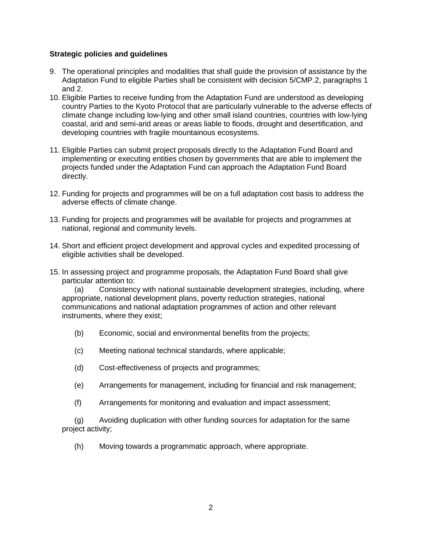## **Strategic policies and guidelines**

- 9. The operational principles and modalities that shall guide the provision of assistance by the Adaptation Fund to eligible Parties shall be consistent with decision 5/CMP.2, paragraphs 1 and 2.
- 10. Eligible Parties to receive funding from the Adaptation Fund are understood as developing country Parties to the Kyoto Protocol that are particularly vulnerable to the adverse effects of climate change including low-lying and other small island countries, countries with low-lying coastal, arid and semi-arid areas or areas liable to floods, drought and desertification, and developing countries with fragile mountainous ecosystems.
- 11. Eligible Parties can submit project proposals directly to the Adaptation Fund Board and implementing or executing entities chosen by governments that are able to implement the projects funded under the Adaptation Fund can approach the Adaptation Fund Board directly.
- 12. Funding for projects and programmes will be on a full adaptation cost basis to address the adverse effects of climate change.
- 13. Funding for projects and programmes will be available for projects and programmes at national, regional and community levels.
- 14. Short and efficient project development and approval cycles and expedited processing of eligible activities shall be developed.
- 15. In assessing project and programme proposals, the Adaptation Fund Board shall give particular attention to:

(a) Consistency with national sustainable development strategies, including, where appropriate, national development plans, poverty reduction strategies, national communications and national adaptation programmes of action and other relevant instruments, where they exist;

- (b) Economic, social and environmental benefits from the projects;
- (c) Meeting national technical standards, where applicable;
- (d) Cost-effectiveness of projects and programmes;
- (e) Arrangements for management, including for financial and risk management;
- (f) Arrangements for monitoring and evaluation and impact assessment;

(g) Avoiding duplication with other funding sources for adaptation for the same project activity;

(h) Moving towards a programmatic approach, where appropriate.